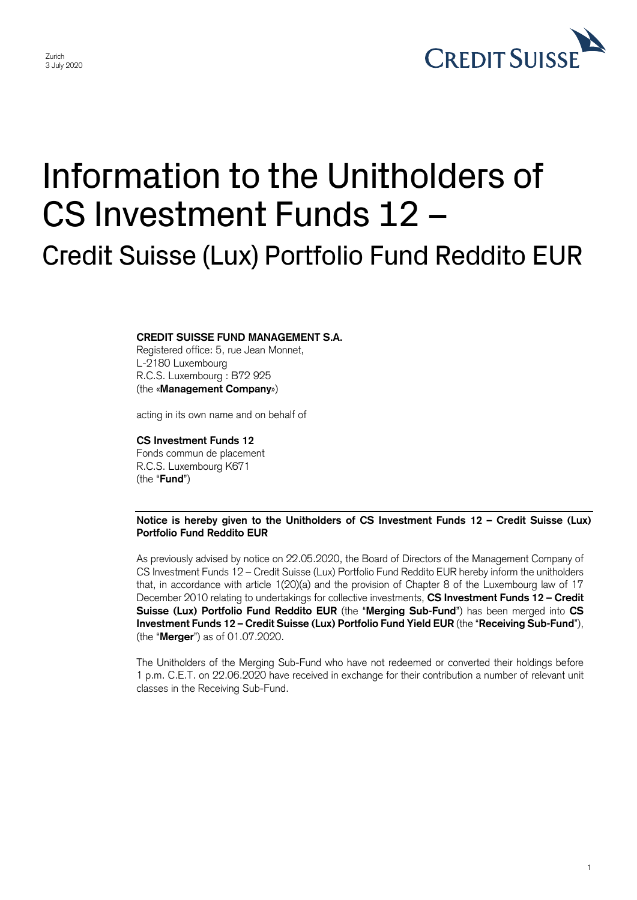

1

## Information to the Unitholders of CS Investment Funds 12 – Credit Suisse (Lux) Portfolio Fund Reddito EUR

## **CREDIT SUISSE FUND MANAGEMENT S.A.**

Registered office: 5, rue Jean Monnet, L-2180 Luxembourg R.C.S. Luxembourg : B72 925 (the «**Management Company**»)

acting in its own name and on behalf of

## **CS Investment Funds 12**

Fonds commun de placement R.C.S. Luxembourg K671 (the "**Fund**")

 **Notice is hereby given to the Unitholders of CS Investment Funds 12 – Credit Suisse (Lux) Portfolio Fund Reddito EUR** 

 As previously advised by notice on 22.05.2020, the Board of Directors of the Management Company of that, in accordance with article 1(20)(a) and the provision of Chapter 8 of the Luxembourg law of 17  December 2010 relating to undertakings for collective investments, **CS Investment Funds 12 – Credit**  CS Investment Funds 12 – Credit Suisse (Lux) Portfolio Fund Reddito EUR hereby inform the unitholders **Suisse (Lux) Portfolio Fund Reddito EUR** (the "**Merging Sub-Fund**") has been merged into **CS Investment Funds 12 – Credit Suisse (Lux) Portfolio Fund Yield EUR** (the "**Receiving Sub-Fund**"), (the "**Merger**") as of 01.07.2020.

 The Unitholders of the Merging Sub-Fund who have not redeemed or converted their holdings before 1 p.m. C.E.T. on 22.06.2020 have received in exchange for their contribution a number of relevant unit classes in the Receiving Sub-Fund.